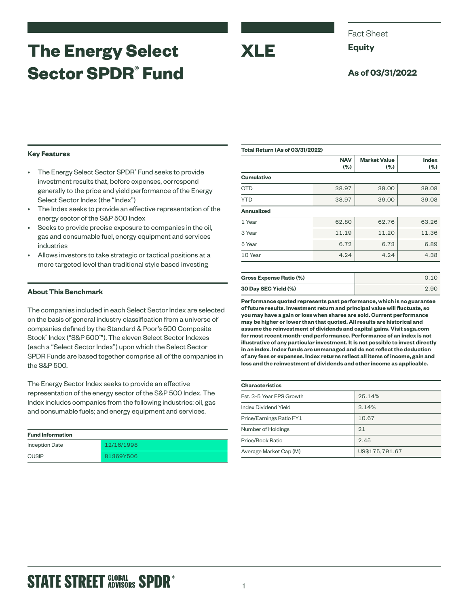# **The Energy Select Sector SPDR® Fund**

Fact Sheet

**Equity**

**XLE**

## **As of 03/31/2022**

### **Key Features**

- The Energy Select Sector SPDR<sup>®</sup> Fund seeks to provide investment results that, before expenses, correspond generally to the price and yield performance of the Energy Select Sector Index (the "Index")
- The Index seeks to provide an effective representation of the energy sector of the S&P 500 Index
- Seeks to provide precise exposure to companies in the oil, gas and consumable fuel, energy equipment and services industries
- Allows investors to take strategic or tactical positions at a more targeted level than traditional style based investing

## **About This Benchmark**

The companies included in each Select Sector Index are selected on the basis of general industry classification from a universe of companies defined by the Standard & Poor's 500 Composite Stock® Index ("S&P 500® "). The eleven Select Sector Indexes (each a "Select Sector Index") upon which the Select Sector SPDR Funds are based together comprise all of the companies in the S&P 500.

The Energy Sector Index seeks to provide an effective representation of the energy sector of the S&P 500 Index. The Index includes companies from the following industries: oil, gas and consumable fuels; and energy equipment and services.

| <b>Fund Information</b> |            |
|-------------------------|------------|
| <b>Inception Date</b>   | 12/16/1998 |
| <b>CUSIP</b>            | 81369Y506  |

| <b>Total Return (As of 03/31/2022)</b> |                   |                            |              |  |
|----------------------------------------|-------------------|----------------------------|--------------|--|
|                                        | <b>NAV</b><br>(%) | <b>Market Value</b><br>(%) | Index<br>(%) |  |
| <b>Cumulative</b>                      |                   |                            |              |  |
| <b>QTD</b>                             | 38.97             | 39.00                      | 39.08        |  |
| <b>YTD</b>                             | 38.97             | 39.00                      | 39.08        |  |
| <b>Annualized</b>                      |                   |                            |              |  |
| 1 Year                                 | 62.80             | 62.76                      | 63.26        |  |
| 3 Year                                 | 11.19             | 11.20                      | 11.36        |  |
| 5 Year                                 | 6.72              | 6.73                       | 6.89         |  |
| 10 Year                                | 4.24              | 4.24                       | 4.38         |  |
|                                        |                   |                            |              |  |
|                                        |                   |                            |              |  |

| <b>Gross Expense Ratio (%)</b> | 0.10 |
|--------------------------------|------|
| 30 Day SEC Yield (%)           | 2.90 |

**Performance quoted represents past performance, which is no guarantee of future results. Investment return and principal value will fluctuate, so you may have a gain or loss when shares are sold. Current performance may be higher or lower than that quoted. All results are historical and assume the reinvestment of dividends and capital gains. Visit ssga.com for most recent month-end performance. Performance of an index is not illustrative of any particular investment. It is not possible to invest directly in an index. Index funds are unmanaged and do not reflect the deduction of any fees or expenses. Index returns reflect all items of income, gain and loss and the reinvestment of dividends and other income as applicable.**

| <b>Characteristics</b>   |                |  |  |
|--------------------------|----------------|--|--|
| Est. 3-5 Year EPS Growth | 25.14%         |  |  |
| Index Dividend Yield     | 3.14%          |  |  |
| Price/Earnings Ratio FY1 | 10.67          |  |  |
| Number of Holdings       | 21             |  |  |
| Price/Book Ratio         | 2.45           |  |  |
| Average Market Cap (M)   | US\$175,791.67 |  |  |